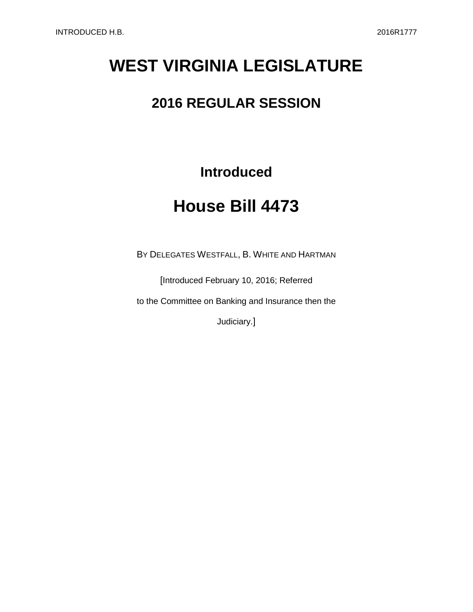# **WEST VIRGINIA LEGISLATURE**

## **2016 REGULAR SESSION**

**Introduced**

## **House Bill 4473**

BY DELEGATES WESTFALL, B. WHITE AND HARTMAN

[Introduced February 10, 2016; Referred

to the Committee on Banking and Insurance then the

Judiciary.]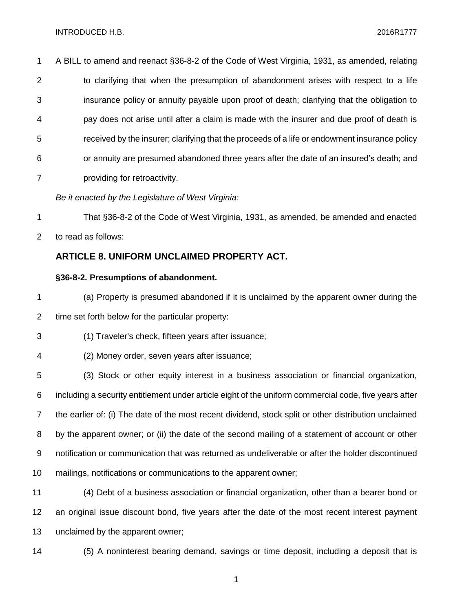A BILL to amend and reenact §36-8-2 of the Code of West Virginia, 1931, as amended, relating to clarifying that when the presumption of abandonment arises with respect to a life insurance policy or annuity payable upon proof of death; clarifying that the obligation to pay does not arise until after a claim is made with the insurer and due proof of death is received by the insurer; clarifying that the proceeds of a life or endowment insurance policy or annuity are presumed abandoned three years after the date of an insured's death; and providing for retroactivity.

*Be it enacted by the Legislature of West Virginia:*

 That §36-8-2 of the Code of West Virginia, 1931, as amended, be amended and enacted to read as follows:

## **ARTICLE 8. UNIFORM UNCLAIMED PROPERTY ACT.**

### **§36-8-2. Presumptions of abandonment.**

 (a) Property is presumed abandoned if it is unclaimed by the apparent owner during the time set forth below for the particular property:

(1) Traveler's check, fifteen years after issuance;

 (3) Stock or other equity interest in a business association or financial organization, including a security entitlement under article eight of the uniform commercial code, five years after the earlier of: (i) The date of the most recent dividend, stock split or other distribution unclaimed by the apparent owner; or (ii) the date of the second mailing of a statement of account or other notification or communication that was returned as undeliverable or after the holder discontinued mailings, notifications or communications to the apparent owner;

 (4) Debt of a business association or financial organization, other than a bearer bond or an original issue discount bond, five years after the date of the most recent interest payment unclaimed by the apparent owner;

(5) A noninterest bearing demand, savings or time deposit, including a deposit that is

(2) Money order, seven years after issuance;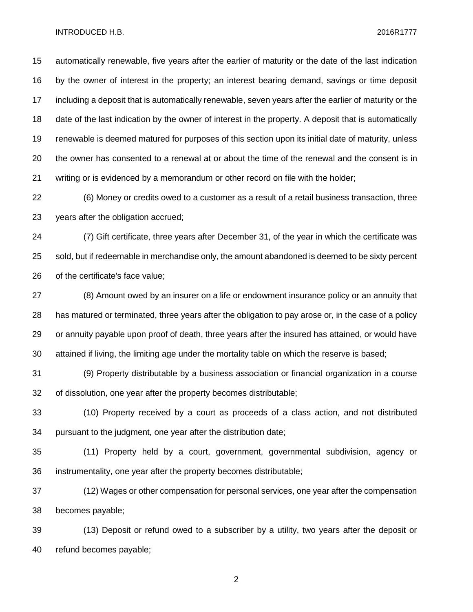automatically renewable, five years after the earlier of maturity or the date of the last indication by the owner of interest in the property; an interest bearing demand, savings or time deposit including a deposit that is automatically renewable, seven years after the earlier of maturity or the date of the last indication by the owner of interest in the property. A deposit that is automatically renewable is deemed matured for purposes of this section upon its initial date of maturity, unless the owner has consented to a renewal at or about the time of the renewal and the consent is in writing or is evidenced by a memorandum or other record on file with the holder;

 (6) Money or credits owed to a customer as a result of a retail business transaction, three years after the obligation accrued;

 (7) Gift certificate, three years after December 31, of the year in which the certificate was sold, but if redeemable in merchandise only, the amount abandoned is deemed to be sixty percent of the certificate's face value;

 (8) Amount owed by an insurer on a life or endowment insurance policy or an annuity that has matured or terminated, three years after the obligation to pay arose or, in the case of a policy or annuity payable upon proof of death, three years after the insured has attained, or would have attained if living, the limiting age under the mortality table on which the reserve is based;

 (9) Property distributable by a business association or financial organization in a course of dissolution, one year after the property becomes distributable;

 (10) Property received by a court as proceeds of a class action, and not distributed pursuant to the judgment, one year after the distribution date;

 (11) Property held by a court, government, governmental subdivision, agency or instrumentality, one year after the property becomes distributable;

 (12) Wages or other compensation for personal services, one year after the compensation becomes payable;

 (13) Deposit or refund owed to a subscriber by a utility, two years after the deposit or refund becomes payable;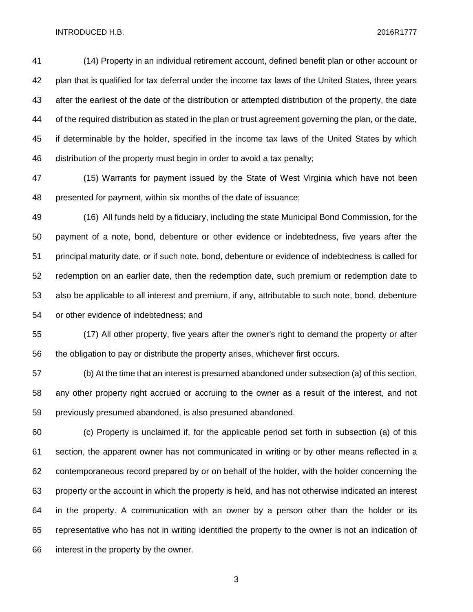(14) Property in an individual retirement account, defined benefit plan or other account or plan that is qualified for tax deferral under the income tax laws of the United States, three years after the earliest of the date of the distribution or attempted distribution of the property, the date of the required distribution as stated in the plan or trust agreement governing the plan, or the date, if determinable by the holder, specified in the income tax laws of the United States by which distribution of the property must begin in order to avoid a tax penalty;

 (15) Warrants for payment issued by the State of West Virginia which have not been presented for payment, within six months of the date of issuance;

 (16) All funds held by a fiduciary, including the state Municipal Bond Commission, for the payment of a note, bond, debenture or other evidence or indebtedness, five years after the principal maturity date, or if such note, bond, debenture or evidence of indebtedness is called for redemption on an earlier date, then the redemption date, such premium or redemption date to also be applicable to all interest and premium, if any, attributable to such note, bond, debenture or other evidence of indebtedness; and

 (17) All other property, five years after the owner's right to demand the property or after the obligation to pay or distribute the property arises, whichever first occurs.

 (b) At the time that an interest is presumed abandoned under subsection (a) of this section, any other property right accrued or accruing to the owner as a result of the interest, and not previously presumed abandoned, is also presumed abandoned.

 (c) Property is unclaimed if, for the applicable period set forth in subsection (a) of this section, the apparent owner has not communicated in writing or by other means reflected in a contemporaneous record prepared by or on behalf of the holder, with the holder concerning the property or the account in which the property is held, and has not otherwise indicated an interest in the property. A communication with an owner by a person other than the holder or its representative who has not in writing identified the property to the owner is not an indication of interest in the property by the owner.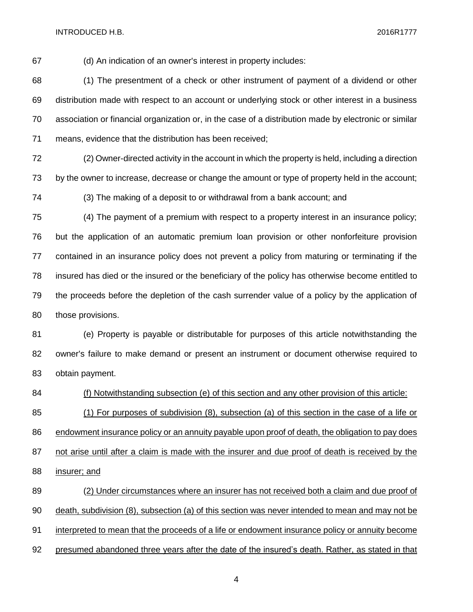(d) An indication of an owner's interest in property includes:

 (1) The presentment of a check or other instrument of payment of a dividend or other distribution made with respect to an account or underlying stock or other interest in a business association or financial organization or, in the case of a distribution made by electronic or similar means, evidence that the distribution has been received;

 (2) Owner-directed activity in the account in which the property is held, including a direction by the owner to increase, decrease or change the amount or type of property held in the account;

(3) The making of a deposit to or withdrawal from a bank account; and

 (4) The payment of a premium with respect to a property interest in an insurance policy; but the application of an automatic premium loan provision or other nonforfeiture provision contained in an insurance policy does not prevent a policy from maturing or terminating if the insured has died or the insured or the beneficiary of the policy has otherwise become entitled to the proceeds before the depletion of the cash surrender value of a policy by the application of those provisions.

 (e) Property is payable or distributable for purposes of this article notwithstanding the owner's failure to make demand or present an instrument or document otherwise required to obtain payment.

 (f) Notwithstanding subsection (e) of this section and any other provision of this article: (1) For purposes of subdivision (8), subsection (a) of this section in the case of a life or

 endowment insurance policy or an annuity payable upon proof of death, the obligation to pay does 87 not arise until after a claim is made with the insurer and due proof of death is received by the insurer; and

 (2) Under circumstances where an insurer has not received both a claim and due proof of death, subdivision (8), subsection (a) of this section was never intended to mean and may not be interpreted to mean that the proceeds of a life or endowment insurance policy or annuity become presumed abandoned three years after the date of the insured's death. Rather, as stated in that